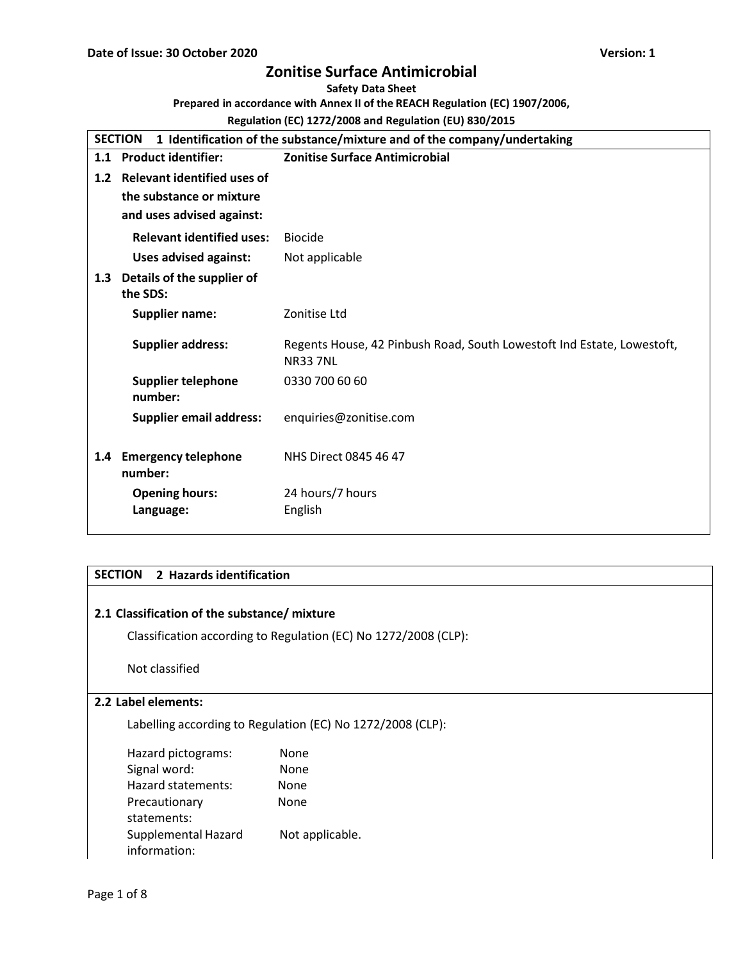#### **Safety Data Sheet**

**Prepared in accordance with Annex II of the REACH Regulation (EC) 1907/2006,**

## **Regulation (EC) 1272/2008 and Regulation (EU) 830/2015**

|                  | <b>SECTION</b><br>1 Identification of the substance/mixture and of the company/undertaking |                                                                                          |  |  |
|------------------|--------------------------------------------------------------------------------------------|------------------------------------------------------------------------------------------|--|--|
|                  | 1.1 Product identifier:                                                                    | <b>Zonitise Surface Antimicrobial</b>                                                    |  |  |
| 1.2 <sub>2</sub> | <b>Relevant identified uses of</b>                                                         |                                                                                          |  |  |
|                  | the substance or mixture                                                                   |                                                                                          |  |  |
|                  | and uses advised against:                                                                  |                                                                                          |  |  |
|                  | <b>Relevant identified uses:</b>                                                           | <b>Biocide</b>                                                                           |  |  |
|                  | <b>Uses advised against:</b>                                                               | Not applicable                                                                           |  |  |
| 1.3              | Details of the supplier of<br>the SDS:                                                     |                                                                                          |  |  |
|                  | <b>Supplier name:</b>                                                                      | Zonitise Ltd                                                                             |  |  |
|                  | <b>Supplier address:</b>                                                                   | Regents House, 42 Pinbush Road, South Lowestoft Ind Estate, Lowestoft,<br><b>NR337NL</b> |  |  |
|                  | <b>Supplier telephone</b><br>number:                                                       | 0330 700 60 60                                                                           |  |  |
|                  | <b>Supplier email address:</b>                                                             | enquiries@zonitise.com                                                                   |  |  |
| 1.4              | <b>Emergency telephone</b><br>number:                                                      | NHS Direct 0845 46 47                                                                    |  |  |
|                  | <b>Opening hours:</b><br>Language:                                                         | 24 hours/7 hours<br>English                                                              |  |  |

# **SECTION 2 Hazards identification**

## **2.1 Classification of the substance/ mixture**

Classification according to Regulation (EC) No 1272/2008 (CLP):

Not classified

## **2.2 Label elements:**

Labelling according to Regulation (EC) No 1272/2008 (CLP):

| Hazard pictograms:  | None            |
|---------------------|-----------------|
| Signal word:        | None            |
| Hazard statements:  | None            |
| Precautionary       | None            |
| statements:         |                 |
| Supplemental Hazard | Not applicable. |
| information:        |                 |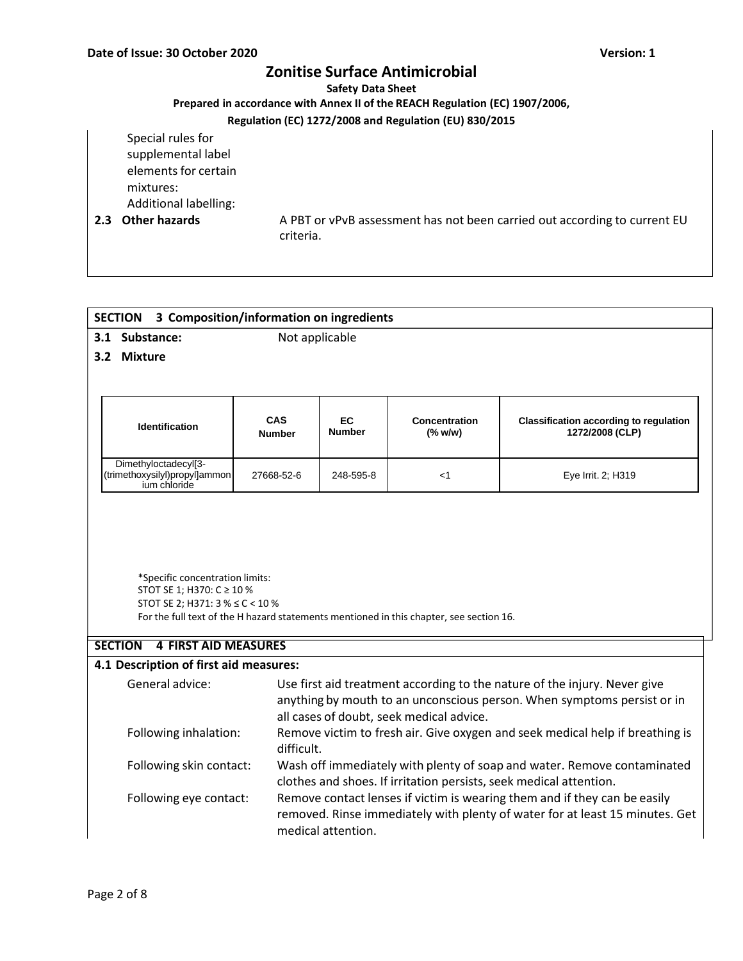#### **Safety Data Sheet**

### **Prepared in accordance with Annex II of the REACH Regulation (EC) 1907/2006,**

## **Regulation (EC) 1272/2008 and Regulation (EU) 830/2015**

Special rules for supplemental label elements for certain mixtures: Additional labelling:

**2.3 Other hazards** A PBT or vPvB assessment has not been carried out according to current EU criteria.

| 3 Composition/information on ingredients<br><b>SECTION</b>                                                                                                                                                          |                             |                    |                                      |                                                                                                                                                           |  |  |
|---------------------------------------------------------------------------------------------------------------------------------------------------------------------------------------------------------------------|-----------------------------|--------------------|--------------------------------------|-----------------------------------------------------------------------------------------------------------------------------------------------------------|--|--|
| 3.1 Substance:                                                                                                                                                                                                      | Not applicable              |                    |                                      |                                                                                                                                                           |  |  |
| 3.2 Mixture                                                                                                                                                                                                         |                             |                    |                                      |                                                                                                                                                           |  |  |
|                                                                                                                                                                                                                     |                             |                    |                                      |                                                                                                                                                           |  |  |
|                                                                                                                                                                                                                     |                             |                    |                                      |                                                                                                                                                           |  |  |
| <b>Identification</b>                                                                                                                                                                                               | <b>CAS</b><br><b>Number</b> | EC<br>Number       | <b>Concentration</b><br>$(%$ (% w/w) | <b>Classification according to regulation</b><br>1272/2008 (CLP)                                                                                          |  |  |
| Dimethyloctadecyl[3-<br>(trimethoxysilyl)propyl]ammon<br>jum chloride                                                                                                                                               | 27668-52-6                  | 248-595-8          | $<$ 1                                | Eye Irrit. 2; H319                                                                                                                                        |  |  |
| STOT SE 1; H370: C ≥ 10 %<br>STOT SE 2; H371: 3 % ≤ C < 10 %<br>For the full text of the H hazard statements mentioned in this chapter, see section 16.<br><b>4 FIRST AID MEASURES</b><br><b>SECTION</b>            |                             |                    |                                      |                                                                                                                                                           |  |  |
| 4.1 Description of first aid measures:                                                                                                                                                                              |                             |                    |                                      |                                                                                                                                                           |  |  |
| General advice:<br>Use first aid treatment according to the nature of the injury. Never give<br>anything by mouth to an unconscious person. When symptoms persist or in<br>all cases of doubt, seek medical advice. |                             |                    |                                      |                                                                                                                                                           |  |  |
| Following inhalation:<br>Remove victim to fresh air. Give oxygen and seek medical help if breathing is<br>difficult.                                                                                                |                             |                    |                                      |                                                                                                                                                           |  |  |
| Wash off immediately with plenty of soap and water. Remove contaminated<br>Following skin contact:<br>clothes and shoes. If irritation persists, seek medical attention.                                            |                             |                    |                                      |                                                                                                                                                           |  |  |
| Following eye contact:                                                                                                                                                                                              |                             | medical attention. |                                      | Remove contact lenses if victim is wearing them and if they can be easily<br>removed. Rinse immediately with plenty of water for at least 15 minutes. Get |  |  |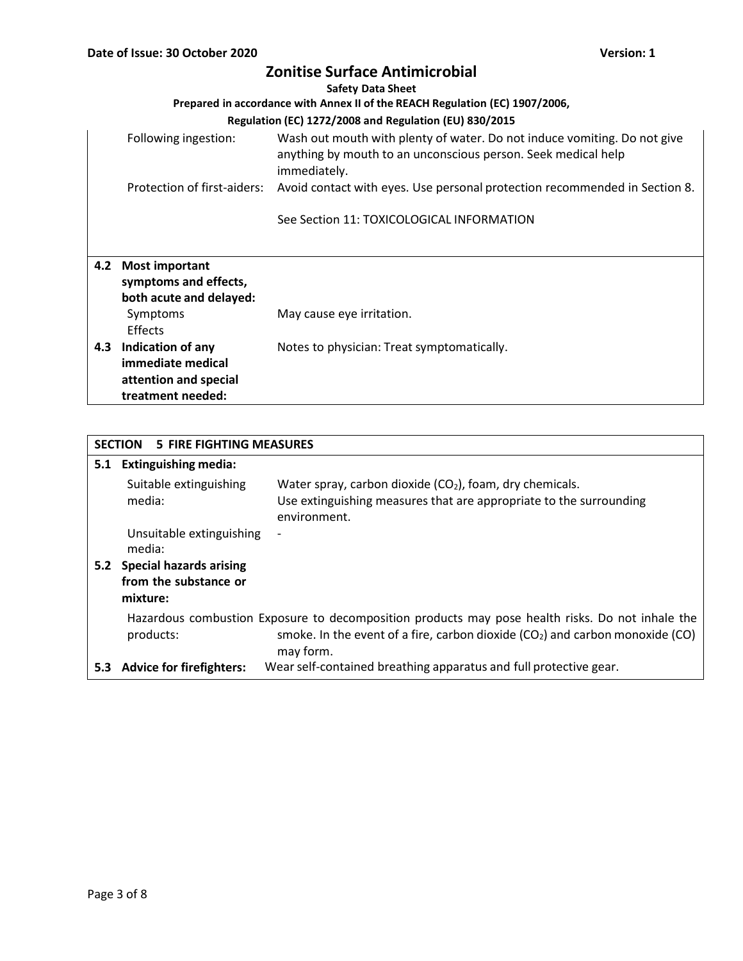|     | <b>Zonitise Surface Antimicrobial</b><br><b>Safety Data Sheet</b>                     |                                                                                                                                                           |  |  |  |
|-----|---------------------------------------------------------------------------------------|-----------------------------------------------------------------------------------------------------------------------------------------------------------|--|--|--|
|     |                                                                                       | Prepared in accordance with Annex II of the REACH Regulation (EC) 1907/2006,                                                                              |  |  |  |
|     |                                                                                       | Regulation (EC) 1272/2008 and Regulation (EU) 830/2015                                                                                                    |  |  |  |
|     | Following ingestion:                                                                  | Wash out mouth with plenty of water. Do not induce vomiting. Do not give<br>anything by mouth to an unconscious person. Seek medical help<br>immediately. |  |  |  |
|     | Protection of first-aiders:                                                           | Avoid contact with eyes. Use personal protection recommended in Section 8.                                                                                |  |  |  |
|     |                                                                                       | See Section 11: TOXICOLOGICAL INFORMATION                                                                                                                 |  |  |  |
| 4.2 | <b>Most important</b><br>symptoms and effects,<br>both acute and delayed:<br>Symptoms | May cause eye irritation.                                                                                                                                 |  |  |  |
|     | Effects                                                                               |                                                                                                                                                           |  |  |  |
|     | 4.3 Indication of any<br>immediate medical<br>attention and special                   | Notes to physician: Treat symptomatically.                                                                                                                |  |  |  |
|     | treatment needed:                                                                     |                                                                                                                                                           |  |  |  |

|     | <b>SECTION</b><br>5 FIRE FIGHTING MEASURES                          |                                                                                                                                                                                                   |  |  |
|-----|---------------------------------------------------------------------|---------------------------------------------------------------------------------------------------------------------------------------------------------------------------------------------------|--|--|
|     | 5.1 Extinguishing media:                                            |                                                                                                                                                                                                   |  |  |
|     | Suitable extinguishing<br>media:                                    | Water spray, carbon dioxide $(CO2)$ , foam, dry chemicals.<br>Use extinguishing measures that are appropriate to the surrounding<br>environment.                                                  |  |  |
|     | Unsuitable extinguishing<br>media:                                  | $\qquad \qquad \blacksquare$                                                                                                                                                                      |  |  |
| 5.2 | <b>Special hazards arising</b><br>from the substance or<br>mixture: |                                                                                                                                                                                                   |  |  |
|     | products:                                                           | Hazardous combustion Exposure to decomposition products may pose health risks. Do not inhale the<br>smoke. In the event of a fire, carbon dioxide $(CO2)$ and carbon monoxide $(CO)$<br>may form. |  |  |
| 5.3 | <b>Advice for firefighters:</b>                                     | Wear self-contained breathing apparatus and full protective gear.                                                                                                                                 |  |  |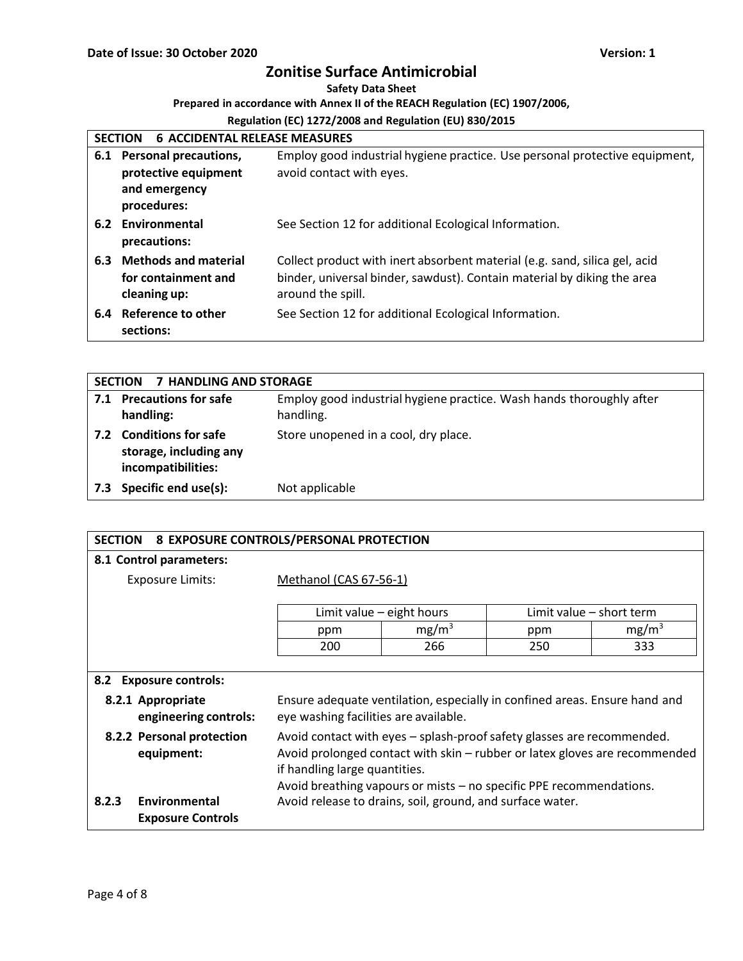## **Safety Data Sheet**

## **Prepared in accordance with Annex II of the REACH Regulation (EC) 1907/2006,**

|     | <b>6 ACCIDENTAL RELEASE MEASURES</b><br><b>SECTION</b>                               |                                                                                                                                                                            |  |  |  |
|-----|--------------------------------------------------------------------------------------|----------------------------------------------------------------------------------------------------------------------------------------------------------------------------|--|--|--|
| 6.1 | <b>Personal precautions,</b><br>protective equipment<br>and emergency<br>procedures: | Employ good industrial hygiene practice. Use personal protective equipment,<br>avoid contact with eyes.                                                                    |  |  |  |
|     | 6.2 Environmental<br>precautions:                                                    | See Section 12 for additional Ecological Information.                                                                                                                      |  |  |  |
| 6.3 | <b>Methods and material</b><br>for containment and<br>cleaning up:                   | Collect product with inert absorbent material (e.g. sand, silica gel, acid<br>binder, universal binder, sawdust). Contain material by diking the area<br>around the spill. |  |  |  |
| 6.4 | Reference to other<br>sections:                                                      | See Section 12 for additional Ecological Information.                                                                                                                      |  |  |  |

|     | <b>7 HANDLING AND STORAGE</b><br><b>SECTION</b>                         |                                                                                   |  |
|-----|-------------------------------------------------------------------------|-----------------------------------------------------------------------------------|--|
|     | 7.1 Precautions for safe<br>handling:                                   | Employ good industrial hygiene practice. Wash hands thoroughly after<br>handling. |  |
|     | 7.2 Conditions for safe<br>storage, including any<br>incompatibilities: | Store unopened in a cool, dry place.                                              |  |
| 7.3 | Specific end use(s):                                                    | Not applicable                                                                    |  |

| <b>SECTION</b>                                                                           | 8 EXPOSURE CONTROLS/PERSONAL PROTECTION                                    |                             |     |                          |
|------------------------------------------------------------------------------------------|----------------------------------------------------------------------------|-----------------------------|-----|--------------------------|
| 8.1 Control parameters:                                                                  |                                                                            |                             |     |                          |
| <b>Exposure Limits:</b>                                                                  | Methanol (CAS 67-56-1)                                                     |                             |     |                          |
|                                                                                          |                                                                            |                             |     |                          |
|                                                                                          |                                                                            | Limit value $-$ eight hours |     | Limit value - short term |
|                                                                                          | ppm                                                                        | mg/m <sup>3</sup>           | ppm | mg/m <sup>3</sup>        |
|                                                                                          | 200                                                                        | 266                         | 250 | 333                      |
|                                                                                          |                                                                            |                             |     |                          |
| 8.2 Exposure controls:                                                                   |                                                                            |                             |     |                          |
| 8.2.1 Appropriate                                                                        | Ensure adequate ventilation, especially in confined areas. Ensure hand and |                             |     |                          |
| engineering controls:                                                                    | eye washing facilities are available.                                      |                             |     |                          |
| 8.2.2 Personal protection                                                                | Avoid contact with eyes – splash-proof safety glasses are recommended.     |                             |     |                          |
| Avoid prolonged contact with skin – rubber or latex gloves are recommended<br>equipment: |                                                                            |                             |     |                          |
|                                                                                          | if handling large quantities.                                              |                             |     |                          |
|                                                                                          | Avoid breathing vapours or mists - no specific PPE recommendations.        |                             |     |                          |
| Environmental<br>8.2.3                                                                   | Avoid release to drains, soil, ground, and surface water.                  |                             |     |                          |
| <b>Exposure Controls</b>                                                                 |                                                                            |                             |     |                          |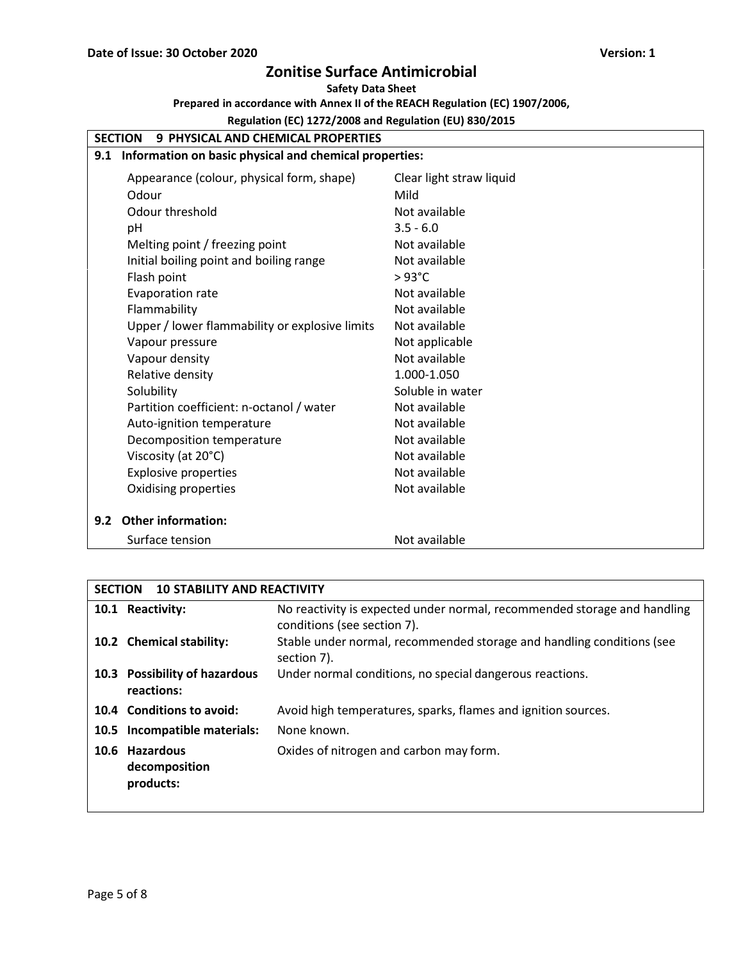## **Safety Data Sheet**

**Prepared in accordance with Annex II of the REACH Regulation (EC) 1907/2006,**

|     | <b>9 PHYSICAL AND CHEMICAL PROPERTIES</b><br><b>SECTION</b> |                          |  |  |  |
|-----|-------------------------------------------------------------|--------------------------|--|--|--|
| 9.1 | Information on basic physical and chemical properties:      |                          |  |  |  |
|     | Appearance (colour, physical form, shape)                   | Clear light straw liquid |  |  |  |
|     | Odour                                                       | Mild                     |  |  |  |
|     | Odour threshold                                             | Not available            |  |  |  |
|     | pH                                                          | $3.5 - 6.0$              |  |  |  |
|     | Melting point / freezing point                              | Not available            |  |  |  |
|     | Initial boiling point and boiling range                     | Not available            |  |  |  |
|     | Flash point                                                 | $>93^{\circ}$ C          |  |  |  |
|     | Evaporation rate                                            | Not available            |  |  |  |
|     | Flammability                                                | Not available            |  |  |  |
|     | Upper / lower flammability or explosive limits              | Not available            |  |  |  |
|     | Vapour pressure                                             | Not applicable           |  |  |  |
|     | Vapour density                                              | Not available            |  |  |  |
|     | Relative density                                            | 1.000-1.050              |  |  |  |
|     | Solubility                                                  | Soluble in water         |  |  |  |
|     | Partition coefficient: n-octanol / water                    | Not available            |  |  |  |
|     | Auto-ignition temperature                                   | Not available            |  |  |  |
|     | Decomposition temperature                                   | Not available            |  |  |  |
|     | Viscosity (at 20°C)                                         | Not available            |  |  |  |
|     | <b>Explosive properties</b>                                 | Not available            |  |  |  |
|     | Oxidising properties                                        | Not available            |  |  |  |
| 9.2 | <b>Other information:</b>                                   |                          |  |  |  |
|     | Surface tension                                             | Not available            |  |  |  |

| <b>SECTION</b> | <b>10 STABILITY AND REACTIVITY</b>           |                                                                                                         |
|----------------|----------------------------------------------|---------------------------------------------------------------------------------------------------------|
|                | 10.1 Reactivity:                             | No reactivity is expected under normal, recommended storage and handling<br>conditions (see section 7). |
|                | 10.2 Chemical stability:                     | Stable under normal, recommended storage and handling conditions (see<br>section 7).                    |
|                | 10.3 Possibility of hazardous<br>reactions:  | Under normal conditions, no special dangerous reactions.                                                |
|                | 10.4 Conditions to avoid:                    | Avoid high temperatures, sparks, flames and ignition sources.                                           |
|                | 10.5 Incompatible materials:                 | None known.                                                                                             |
|                | 10.6 Hazardous<br>decomposition<br>products: | Oxides of nitrogen and carbon may form.                                                                 |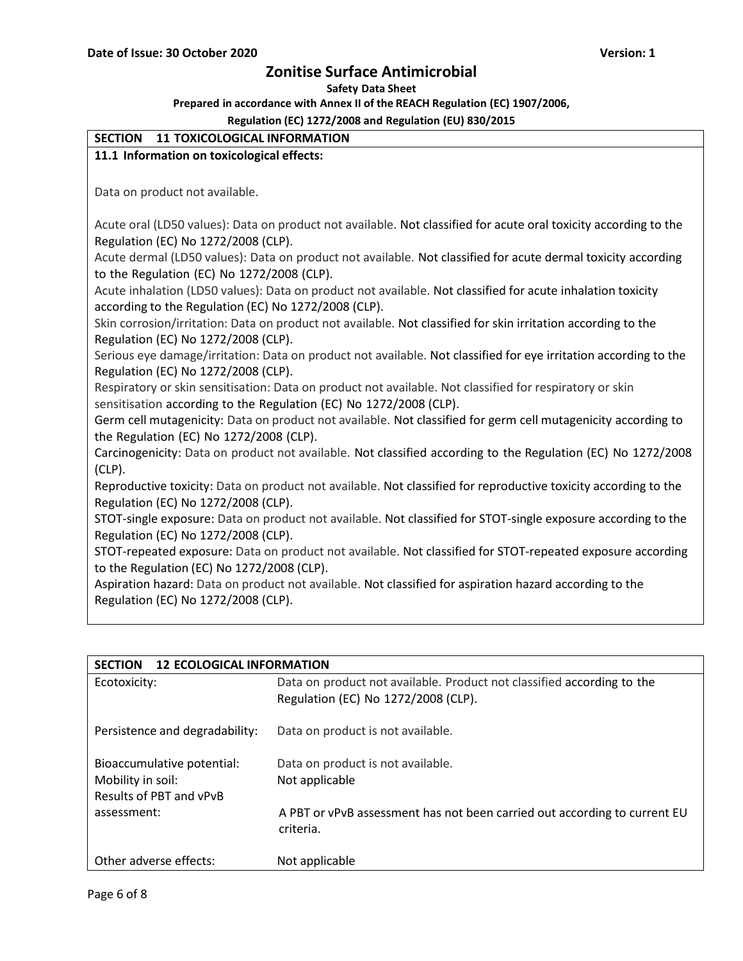**Safety Data Sheet**

**Prepared in accordance with Annex II of the REACH Regulation (EC) 1907/2006,**

| SECTION 11 TOXICOLOGICAL INFORMATION                                                                             |
|------------------------------------------------------------------------------------------------------------------|
| 11.1 Information on toxicological effects:                                                                       |
|                                                                                                                  |
| Data on product not available.                                                                                   |
|                                                                                                                  |
| Acute oral (LD50 values): Data on product not available. Not classified for acute oral toxicity according to the |
| Regulation (EC) No 1272/2008 (CLP).                                                                              |
| Acute dermal (LD50 values): Data on product not available. Not classified for acute dermal toxicity according    |
| to the Regulation (EC) No 1272/2008 (CLP).                                                                       |
| Acute inhalation (LD50 values): Data on product not available. Not classified for acute inhalation toxicity      |
| according to the Regulation (EC) No 1272/2008 (CLP).                                                             |
| Skin corrosion/irritation: Data on product not available. Not classified for skin irritation according to the    |
| Regulation (EC) No 1272/2008 (CLP).                                                                              |
| Serious eye damage/irritation: Data on product not available. Not classified for eye irritation according to the |
| Regulation (EC) No 1272/2008 (CLP).                                                                              |
| Respiratory or skin sensitisation: Data on product not available. Not classified for respiratory or skin         |
| sensitisation according to the Regulation (EC) No 1272/2008 (CLP).                                               |
| Germ cell mutagenicity: Data on product not available. Not classified for germ cell mutagenicity according to    |
| the Regulation (EC) No 1272/2008 (CLP).                                                                          |
| Carcinogenicity: Data on product not available. Not classified according to the Regulation (EC) No 1272/2008     |
| $(CLP)$ .                                                                                                        |
| Reproductive toxicity: Data on product not available. Not classified for reproductive toxicity according to the  |
| Regulation (EC) No 1272/2008 (CLP).                                                                              |
| STOT-single exposure: Data on product not available. Not classified for STOT-single exposure according to the    |
| Regulation (EC) No 1272/2008 (CLP).                                                                              |
| STOT-repeated exposure: Data on product not available. Not classified for STOT-repeated exposure according       |
| to the Regulation (EC) No 1272/2008 (CLP).                                                                       |
| Aspiration hazard: Data on product not available. Not classified for aspiration hazard according to the          |
| Regulation (EC) No 1272/2008 (CLP).                                                                              |

| <b>SECTION</b><br><b>12 ECOLOGICAL INFORMATION</b>                         |                                                                                                               |  |  |
|----------------------------------------------------------------------------|---------------------------------------------------------------------------------------------------------------|--|--|
| Ecotoxicity:                                                               | Data on product not available. Product not classified according to the<br>Regulation (EC) No 1272/2008 (CLP). |  |  |
| Persistence and degradability:                                             | Data on product is not available.                                                                             |  |  |
| Bioaccumulative potential:<br>Mobility in soil:<br>Results of PBT and vPvB | Data on product is not available.<br>Not applicable                                                           |  |  |
| assessment:                                                                | A PBT or vPvB assessment has not been carried out according to current EU<br>criteria.                        |  |  |
| Other adverse effects:                                                     | Not applicable                                                                                                |  |  |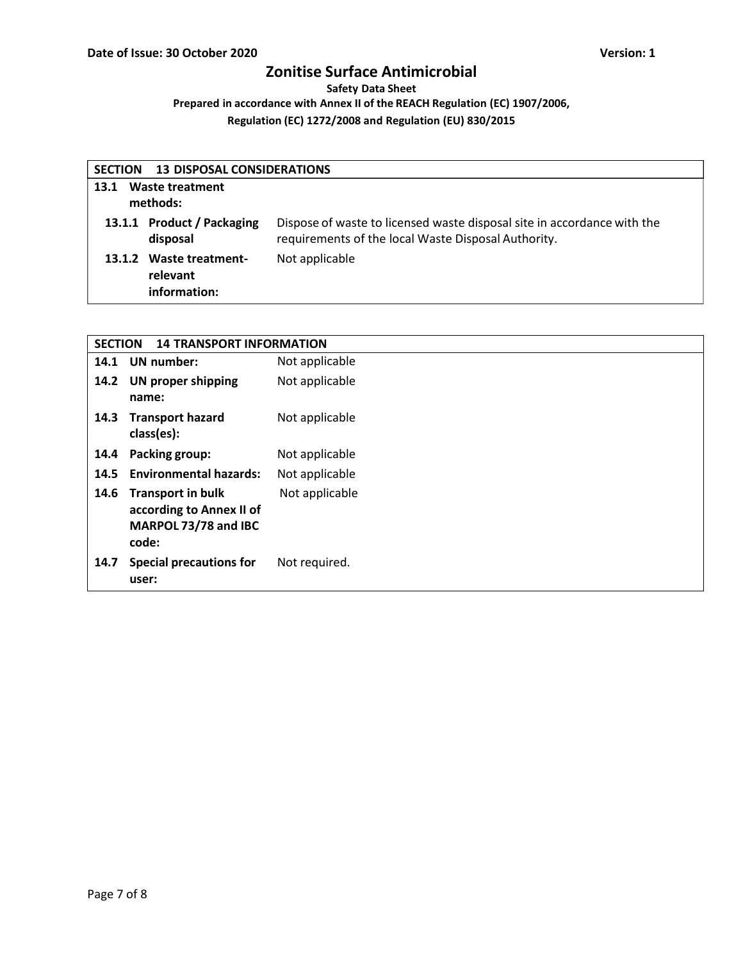**Safety Data Sheet**

**Prepared in accordance with Annex II of the REACH Regulation (EC) 1907/2006,**

| <b>13 DISPOSAL CONSIDERATIONS</b><br><b>SECTION</b> |                                                     |                                                                                                                                |  |  |
|-----------------------------------------------------|-----------------------------------------------------|--------------------------------------------------------------------------------------------------------------------------------|--|--|
| Waste treatment<br>13.1<br>methods:                 |                                                     |                                                                                                                                |  |  |
|                                                     | 13.1.1 Product / Packaging<br>disposal              | Dispose of waste to licensed waste disposal site in accordance with the<br>requirements of the local Waste Disposal Authority. |  |  |
|                                                     | 13.1.2 Waste treatment-<br>relevant<br>information: | Not applicable                                                                                                                 |  |  |

| <b>SECTION</b><br><b>14 TRANSPORT INFORMATION</b> |                                                                                       |                |  |
|---------------------------------------------------|---------------------------------------------------------------------------------------|----------------|--|
| 14.1                                              | <b>UN</b> number:                                                                     | Not applicable |  |
| 14.2                                              | <b>UN proper shipping</b><br>name:                                                    | Not applicable |  |
| 14.3                                              | <b>Transport hazard</b><br>class(es):                                                 | Not applicable |  |
| 14.4                                              | Packing group:                                                                        | Not applicable |  |
| 14.5                                              | <b>Environmental hazards:</b>                                                         | Not applicable |  |
| 14.6                                              | <b>Transport in bulk</b><br>according to Annex II of<br>MARPOL 73/78 and IBC<br>code: | Not applicable |  |
| 14.7                                              | <b>Special precautions for</b><br>user:                                               | Not required.  |  |